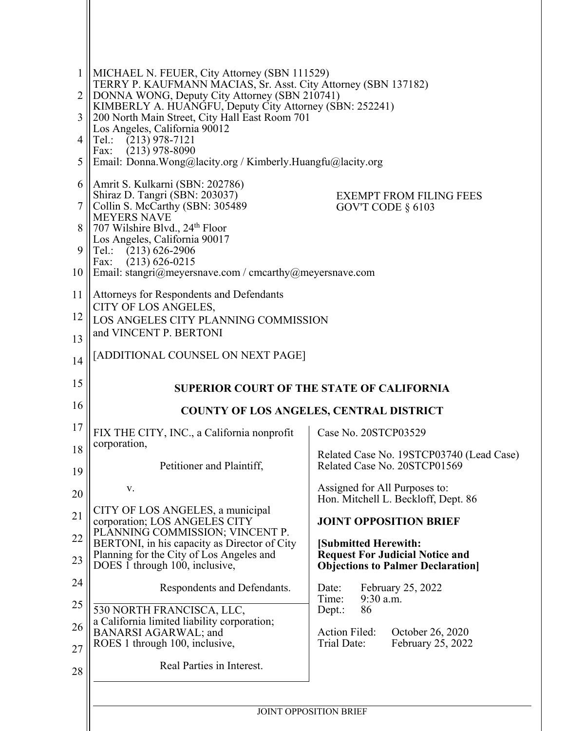| 1<br>2<br>3<br>4<br>5      | MICHAEL N. FEUER, City Attorney (SBN 111529)<br>TERRY P. KAUFMANN MACIAS, Sr. Asst. City Attorney (SBN 137182)<br>DONNA WONG, Deputy City Attorney (SBN 210741)<br>KIMBERLY A. HUANGFU, Deputy City Attorney (SBN: 252241)<br>200 North Main Street, City Hall East Room 701<br>Los Angeles, California 90012<br>$(213)$ 978-7121<br>Tel.:<br>$(213)$ 978-8090<br>Fax:<br>Email: Donna.Wong@lacity.org / Kimberly.Huangfu@lacity.org |                                                                                                                                                                                                           |  |
|----------------------------|--------------------------------------------------------------------------------------------------------------------------------------------------------------------------------------------------------------------------------------------------------------------------------------------------------------------------------------------------------------------------------------------------------------------------------------|-----------------------------------------------------------------------------------------------------------------------------------------------------------------------------------------------------------|--|
| 6<br>7<br>8<br>9<br>10     | Amrit S. Kulkarni (SBN: 202786)<br>Shiraz D. Tangri (SBN: 203037)<br><b>EXEMPT FROM FILING FEES</b><br>Collin S. McCarthy (SBN: 305489<br>GOV'T CODE $\S$ 6103<br><b>MEYERS NAVE</b><br>707 Wilshire Blvd., 24th Floor<br>Los Angeles, California 90017<br>Tel.: (213) 626-2906<br>$(213)$ 626-0215<br>Fax:<br>Email: stangri@meyersnave.com / cmcarthy@meyersnave.com                                                               |                                                                                                                                                                                                           |  |
| 11<br>12<br>13             | Attorneys for Respondents and Defendants<br>CITY OF LOS ANGELES,<br>LOS ANGELES CITY PLANNING COMMISSION<br>and VINCENT P. BERTONI                                                                                                                                                                                                                                                                                                   |                                                                                                                                                                                                           |  |
| 14<br>15<br>16             | [ADDITIONAL COUNSEL ON NEXT PAGE]<br><b>SUPERIOR COURT OF THE STATE OF CALIFORNIA</b><br><b>COUNTY OF LOS ANGELES, CENTRAL DISTRICT</b>                                                                                                                                                                                                                                                                                              |                                                                                                                                                                                                           |  |
| 17<br>18<br>19<br>20<br>21 | FIX THE CITY, INC., a California nonprofit<br>corporation,<br>Petitioner and Plaintiff,<br>V.<br>CITY OF LOS ANGELES, a municipal<br>corporation; LOS ANGELES CITY                                                                                                                                                                                                                                                                   | Case No. 20STCP03529<br>Related Case No. 19STCP03740 (Lead Case)<br>Related Case No. 20STCP01569<br>Assigned for All Purposes to:<br>Hon. Mitchell L. Beckloff, Dept. 86<br><b>JOINT OPPOSITION BRIEF</b> |  |
| 22<br>23<br>24             | PLANNING COMMISSION; VINCENT P.<br>BERTONI, in his capacity as Director of City<br>Planning for the City of Los Angeles and<br>DOES 1 through 100, inclusive,                                                                                                                                                                                                                                                                        | [Submitted Herewith:<br><b>Request For Judicial Notice and</b><br><b>Objections to Palmer Declaration</b>                                                                                                 |  |
| 25<br>26<br>27<br>28       | Respondents and Defendants.<br>530 NORTH FRANCISCA, LLC,<br>a California limited liability corporation;<br>BANARSI AGARWAL; and<br>ROES 1 through 100, inclusive,<br>Real Parties in Interest.                                                                                                                                                                                                                                       | Date:<br>February 25, 2022<br>9:30 a.m.<br>Time:<br>86<br>Dept.:<br>Action Filed:<br>October 26, 2020<br>Trial Date:<br>February 25, 2022                                                                 |  |
|                            |                                                                                                                                                                                                                                                                                                                                                                                                                                      | <b>JOINT OPPOSITION BRIEF</b>                                                                                                                                                                             |  |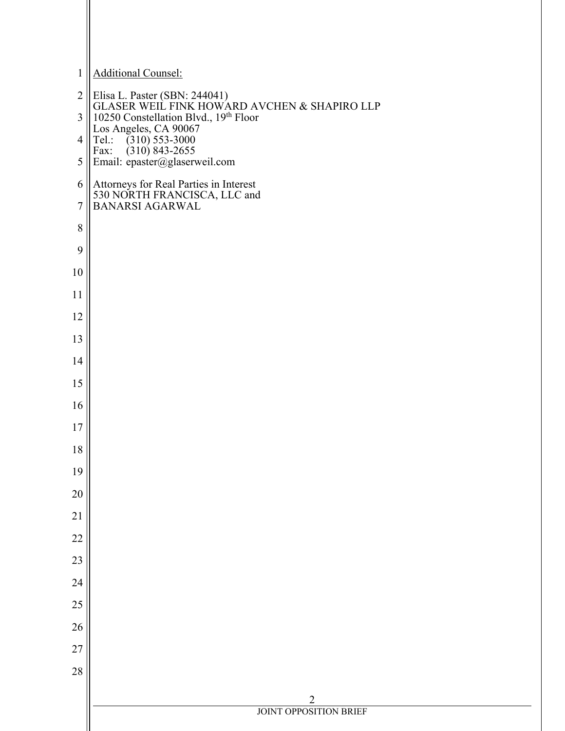| $\mathbf{1}$   | <b>Additional Counsel:</b>                                                                                                                                                          |
|----------------|-------------------------------------------------------------------------------------------------------------------------------------------------------------------------------------|
| $\overline{2}$ |                                                                                                                                                                                     |
| 3              | Elisa L. Paster (SBN: 244041)<br>GLASER WEIL FINK HOWARD AVCHEN & SHAPIRO LLP<br>10250 Constellation Blvd., 19 <sup>th</sup> Floor<br>Los Angeles, CA 90067<br>Tel.: (310) 553-3000 |
| $\overline{4}$ |                                                                                                                                                                                     |
| 5              | Fax: $(310) 843 - 2655$<br>Email: epaster@glaserweil.com                                                                                                                            |
| 6              | Attorneys for Real Parties in Interest<br>530 NORTH FRANCISCA, LLC and<br>BANARSI AGARWAL                                                                                           |
| $\overline{7}$ |                                                                                                                                                                                     |
| 8              |                                                                                                                                                                                     |
| 9              |                                                                                                                                                                                     |
| 10             |                                                                                                                                                                                     |
| 11             |                                                                                                                                                                                     |
| 12             |                                                                                                                                                                                     |
| 13             |                                                                                                                                                                                     |
| 14             |                                                                                                                                                                                     |
| 15             |                                                                                                                                                                                     |
| 16             |                                                                                                                                                                                     |
| 17             |                                                                                                                                                                                     |
| 18             |                                                                                                                                                                                     |
| 19             |                                                                                                                                                                                     |
| 20             |                                                                                                                                                                                     |
| $21\,$         |                                                                                                                                                                                     |
| 22             |                                                                                                                                                                                     |
| 23             |                                                                                                                                                                                     |
| 24             |                                                                                                                                                                                     |
| 25             |                                                                                                                                                                                     |
| 26             |                                                                                                                                                                                     |
| 27             |                                                                                                                                                                                     |
| 28             |                                                                                                                                                                                     |
|                | $\overline{2}$<br><b>JOINT OPPOSITION BRIEF</b>                                                                                                                                     |
|                |                                                                                                                                                                                     |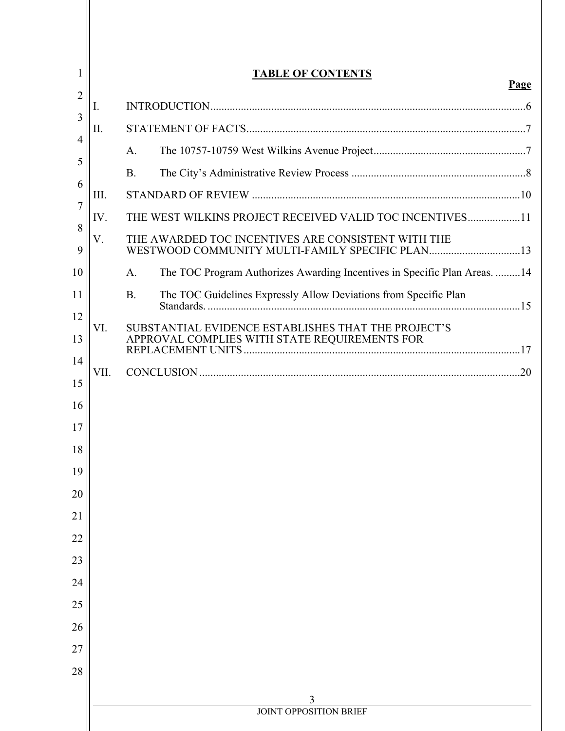| <b>TABLE OF CONTENTS</b><br>Page |                                                                                                       |  |  |
|----------------------------------|-------------------------------------------------------------------------------------------------------|--|--|
| $\overline{2}$<br>Ι.<br>3        |                                                                                                       |  |  |
| Π.                               |                                                                                                       |  |  |
|                                  | A.                                                                                                    |  |  |
|                                  | <b>B.</b>                                                                                             |  |  |
| III.                             |                                                                                                       |  |  |
| IV.                              | THE WEST WILKINS PROJECT RECEIVED VALID TOC INCENTIVES11                                              |  |  |
| V.                               | THE AWARDED TOC INCENTIVES ARE CONSISTENT WITH THE<br>WESTWOOD COMMUNITY MULTI-FAMILY SPECIFIC PLAN13 |  |  |
|                                  | The TOC Program Authorizes Awarding Incentives in Specific Plan Areas. 14<br>A.                       |  |  |
|                                  | The TOC Guidelines Expressly Allow Deviations from Specific Plan<br><b>B.</b>                         |  |  |
| VI.                              | SUBSTANTIAL EVIDENCE ESTABLISHES THAT THE PROJECT'S<br>APPROVAL COMPLIES WITH STATE REQUIREMENTS FOR  |  |  |
| VII.                             |                                                                                                       |  |  |
|                                  |                                                                                                       |  |  |
|                                  |                                                                                                       |  |  |
|                                  |                                                                                                       |  |  |
|                                  |                                                                                                       |  |  |
|                                  |                                                                                                       |  |  |
|                                  |                                                                                                       |  |  |
|                                  |                                                                                                       |  |  |
|                                  |                                                                                                       |  |  |
|                                  |                                                                                                       |  |  |
|                                  |                                                                                                       |  |  |
|                                  |                                                                                                       |  |  |
|                                  |                                                                                                       |  |  |
|                                  |                                                                                                       |  |  |
|                                  |                                                                                                       |  |  |
|                                  |                                                                                                       |  |  |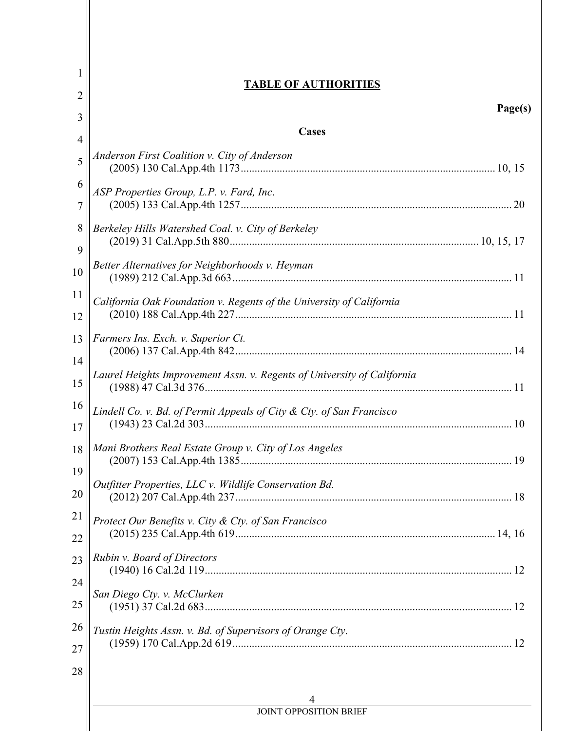| $\bf{l}$ | <b>TABLE OF AUTHORITIES</b>                                                                  |  |
|----------|----------------------------------------------------------------------------------------------|--|
| 2        | Page(s)                                                                                      |  |
| 3        | <b>Cases</b>                                                                                 |  |
| 4        |                                                                                              |  |
| 5        | Anderson First Coalition v. City of Anderson                                                 |  |
| 6<br>7   | ASP Properties Group, L.P. v. Fard, Inc.                                                     |  |
| 8        | Berkeley Hills Watershed Coal. v. City of Berkeley                                           |  |
| 9        |                                                                                              |  |
| 10       | Better Alternatives for Neighborhoods v. Heyman                                              |  |
| 11       | California Oak Foundation v. Regents of the University of California                         |  |
| 12       |                                                                                              |  |
| 13       | Farmers Ins. Exch. v. Superior Ct.                                                           |  |
| 14<br>15 | Laurel Heights Improvement Assn. v. Regents of University of California                      |  |
| 16       |                                                                                              |  |
| 17       | Lindell Co. v. Bd. of Permit Appeals of City & Cty. of San Francisco                         |  |
| 18       | Mani Brothers Real Estate Group v. City of Los Angeles<br>19<br>(2007) 153 Cal.App.4th 1385. |  |
| 19       | Outfitter Properties, LLC v. Wildlife Conservation Bd.                                       |  |
| 20       |                                                                                              |  |
| 21       | Protect Our Benefits v. City & Cty. of San Francisco                                         |  |
| 22       |                                                                                              |  |
| 23       | Rubin v. Board of Directors                                                                  |  |
| 24       |                                                                                              |  |
| 25       | San Diego Cty. v. McClurken                                                                  |  |
| 26       |                                                                                              |  |
| 27       | Tustin Heights Assn. v. Bd. of Supervisors of Orange Cty.                                    |  |
| 28       |                                                                                              |  |
|          |                                                                                              |  |
|          | <b>JOINT OPPOSITION BRIEF</b>                                                                |  |
|          |                                                                                              |  |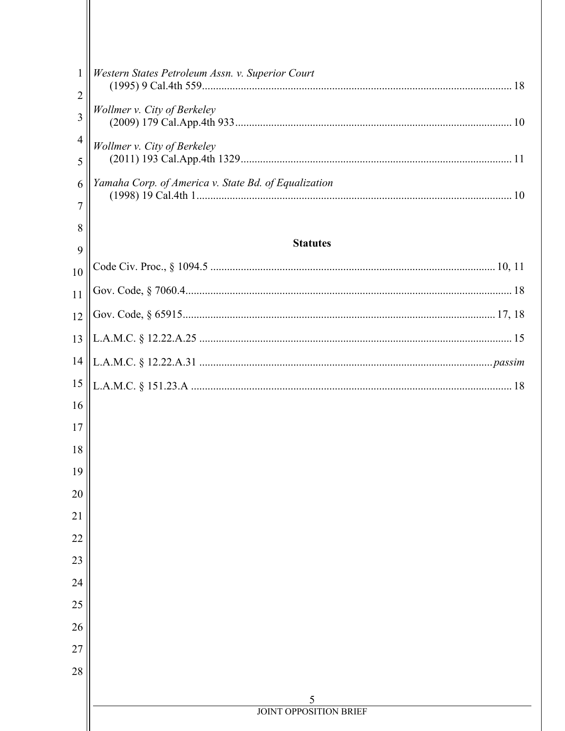| 1              | Western States Petroleum Assn. v. Superior Court     |
|----------------|------------------------------------------------------|
| $\overline{2}$ |                                                      |
| 3              | Wollmer v. City of Berkeley                          |
| $\overline{4}$ | Wollmer v. City of Berkeley                          |
| 5              |                                                      |
| 6              | Yamaha Corp. of America v. State Bd. of Equalization |
| 7              |                                                      |
| 8              |                                                      |
| 9              | <b>Statutes</b>                                      |
| 10             |                                                      |
| 11             |                                                      |
| 12             |                                                      |
| 13             |                                                      |
| 14             |                                                      |
| 15             |                                                      |
| 16             |                                                      |
| 17             |                                                      |
| 18             |                                                      |
| 19             |                                                      |
| 20             |                                                      |
| 21             |                                                      |
| 22             |                                                      |
| 23             |                                                      |
| 24             |                                                      |
| 25<br>26       |                                                      |
| 27             |                                                      |
| 28             |                                                      |
|                |                                                      |
|                | 5                                                    |
|                | <b>JOINT OPPOSITION BRIEF</b>                        |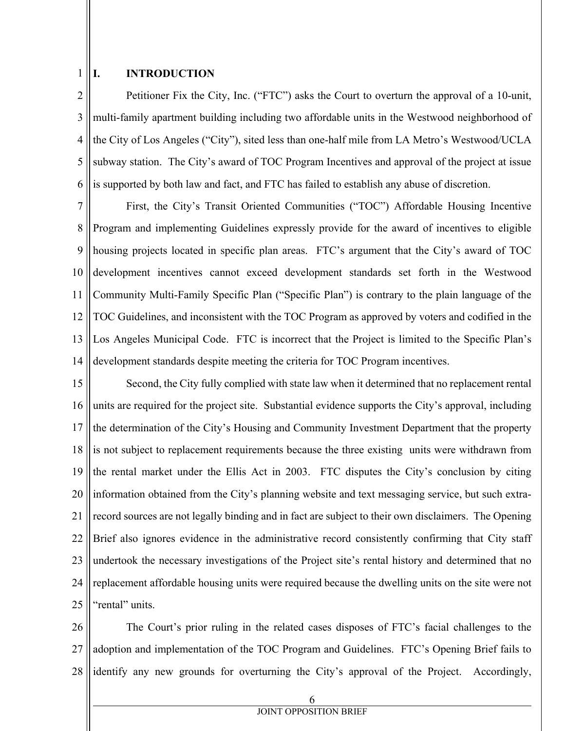#### 1 **I. INTRODUCTION**

2 3 4 5 6 Petitioner Fix the City, Inc. ("FTC") asks the Court to overturn the approval of a 10-unit, multi-family apartment building including two affordable units in the Westwood neighborhood of the City of Los Angeles ("City"), sited less than one-half mile from LA Metro's Westwood/UCLA subway station. The City's award of TOC Program Incentives and approval of the project at issue is supported by both law and fact, and FTC has failed to establish any abuse of discretion.

7 8 9 10 11 12 13 14 First, the City's Transit Oriented Communities ("TOC") Affordable Housing Incentive Program and implementing Guidelines expressly provide for the award of incentives to eligible housing projects located in specific plan areas. FTC's argument that the City's award of TOC development incentives cannot exceed development standards set forth in the Westwood Community Multi-Family Specific Plan ("Specific Plan") is contrary to the plain language of the TOC Guidelines, and inconsistent with the TOC Program as approved by voters and codified in the Los Angeles Municipal Code. FTC is incorrect that the Project is limited to the Specific Plan's development standards despite meeting the criteria for TOC Program incentives.

15 16 17 18 19 20 21 22 23 24 25 Second, the City fully complied with state law when it determined that no replacement rental units are required for the project site. Substantial evidence supports the City's approval, including the determination of the City's Housing and Community Investment Department that the property is not subject to replacement requirements because the three existing units were withdrawn from the rental market under the Ellis Act in 2003. FTC disputes the City's conclusion by citing information obtained from the City's planning website and text messaging service, but such extrarecord sources are not legally binding and in fact are subject to their own disclaimers. The Opening Brief also ignores evidence in the administrative record consistently confirming that City staff undertook the necessary investigations of the Project site's rental history and determined that no replacement affordable housing units were required because the dwelling units on the site were not "rental" units.

26 27 28 The Court's prior ruling in the related cases disposes of FTC's facial challenges to the adoption and implementation of the TOC Program and Guidelines. FTC's Opening Brief fails to identify any new grounds for overturning the City's approval of the Project. Accordingly,

JOINT OPPOSITION BRIEF

6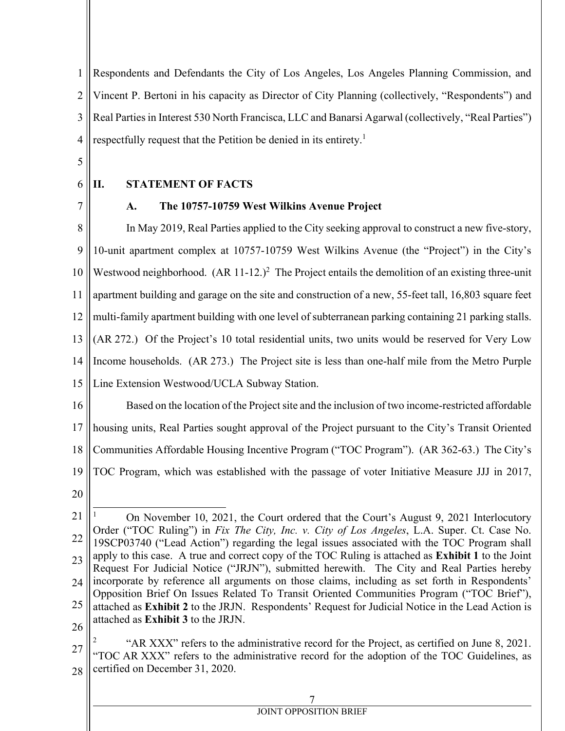1 2 3 4 Respondents and Defendants the City of Los Angeles, Los Angeles Planning Commission, and Vincent P. Bertoni in his capacity as Director of City Planning (collectively, "Respondents") and Real Parties in Interest 530 North Francisca, LLC and Banarsi Agarwal (collectively, "Real Parties") respectfully request that the Petition be denied in its entirety.<sup>1</sup>

- 5
- 6

7

## **II. STATEMENT OF FACTS**

## **A. The 10757-10759 West Wilkins Avenue Project**

8 9 10 11 12 13 14 15 In May 2019, Real Parties applied to the City seeking approval to construct a new five-story, 10-unit apartment complex at 10757-10759 West Wilkins Avenue (the "Project") in the City's Westwood neighborhood.  $(AR 11-12.)^2$  The Project entails the demolition of an existing three-unit apartment building and garage on the site and construction of a new, 55-feet tall, 16,803 square feet multi-family apartment building with one level of subterranean parking containing 21 parking stalls. (AR 272.) Of the Project's 10 total residential units, two units would be reserved for Very Low Income households. (AR 273.) The Project site is less than one-half mile from the Metro Purple Line Extension Westwood/UCLA Subway Station.

- 16 17 18 19 Based on the location of the Project site and the inclusion of two income-restricted affordable housing units, Real Parties sought approval of the Project pursuant to the City's Transit Oriented Communities Affordable Housing Incentive Program ("TOC Program"). (AR 362-63.) The City's TOC Program, which was established with the passage of voter Initiative Measure JJJ in 2017,
- 20

<sup>21</sup> 22 23 24 25 26  $\overline{a}$ 1 On November 10, 2021, the Court ordered that the Court's August 9, 2021 Interlocutory Order ("TOC Ruling") in *Fix The City, Inc. v. City of Los Angeles*, L.A. Super. Ct. Case No. 19SCP03740 ("Lead Action") regarding the legal issues associated with the TOC Program shall apply to this case. A true and correct copy of the TOC Ruling is attached as **Exhibit 1** to the Joint Request For Judicial Notice ("JRJN"), submitted herewith. The City and Real Parties hereby incorporate by reference all arguments on those claims, including as set forth in Respondents' Opposition Brief On Issues Related To Transit Oriented Communities Program ("TOC Brief"), attached as **Exhibit 2** to the JRJN. Respondents' Request for Judicial Notice in the Lead Action is attached as **Exhibit 3** to the JRJN.

<sup>27</sup> 28 2 "AR XXX" refers to the administrative record for the Project, as certified on June 8, 2021. "TOC AR XXX" refers to the administrative record for the adoption of the TOC Guidelines, as certified on December 31, 2020.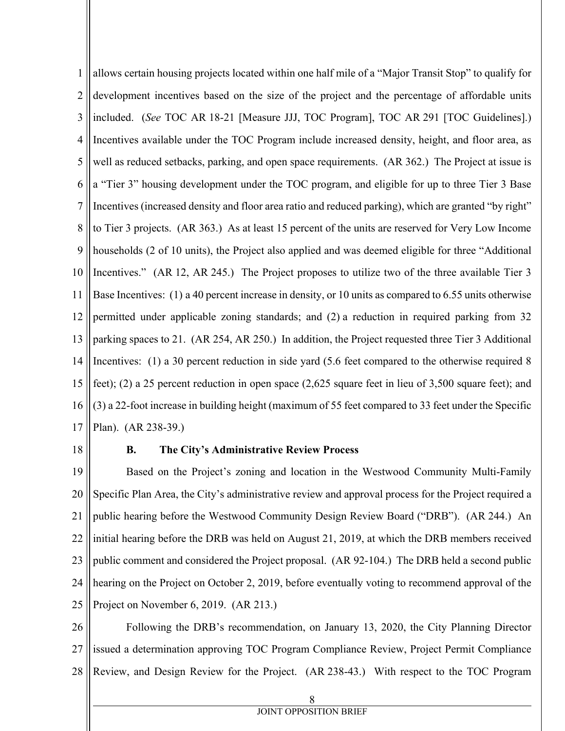1 2 3 4 5 6 7 8 9 10 11 12 13 14 15 16 17 allows certain housing projects located within one half mile of a "Major Transit Stop" to qualify for development incentives based on the size of the project and the percentage of affordable units included. (*See* TOC AR 18-21 [Measure JJJ, TOC Program], TOC AR 291 [TOC Guidelines].) Incentives available under the TOC Program include increased density, height, and floor area, as well as reduced setbacks, parking, and open space requirements. (AR 362.) The Project at issue is a "Tier 3" housing development under the TOC program, and eligible for up to three Tier 3 Base Incentives (increased density and floor area ratio and reduced parking), which are granted "by right" to Tier 3 projects. (AR 363.) As at least 15 percent of the units are reserved for Very Low Income households (2 of 10 units), the Project also applied and was deemed eligible for three "Additional Incentives." (AR 12, AR 245.) The Project proposes to utilize two of the three available Tier 3 Base Incentives: (1) a 40 percent increase in density, or 10 units as compared to 6.55 units otherwise permitted under applicable zoning standards; and (2) a reduction in required parking from 32 parking spaces to 21. (AR 254, AR 250.) In addition, the Project requested three Tier 3 Additional Incentives: (1) a 30 percent reduction in side yard (5.6 feet compared to the otherwise required 8 feet); (2) a 25 percent reduction in open space (2,625 square feet in lieu of 3,500 square feet); and (3) a 22-foot increase in building height (maximum of 55 feet compared to 33 feet under the Specific Plan). (AR 238-39.)

18

### **B. The City's Administrative Review Process**

19 20 21 22 23 24 25 Based on the Project's zoning and location in the Westwood Community Multi-Family Specific Plan Area, the City's administrative review and approval process for the Project required a public hearing before the Westwood Community Design Review Board ("DRB"). (AR 244.) An initial hearing before the DRB was held on August 21, 2019, at which the DRB members received public comment and considered the Project proposal. (AR 92-104.) The DRB held a second public hearing on the Project on October 2, 2019, before eventually voting to recommend approval of the Project on November 6, 2019. (AR 213.)

26 27 28 Following the DRB's recommendation, on January 13, 2020, the City Planning Director issued a determination approving TOC Program Compliance Review, Project Permit Compliance Review, and Design Review for the Project. (AR 238-43.) With respect to the TOC Program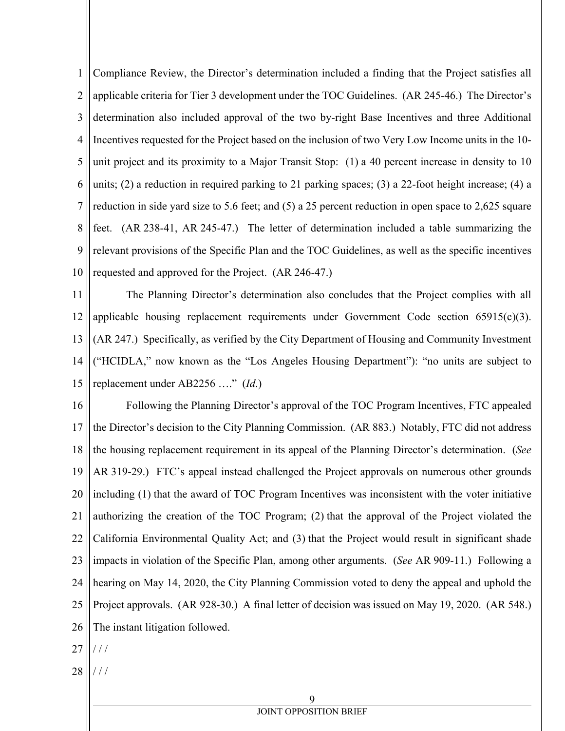1 2 3 4 5 6 7 8 9 10 Compliance Review, the Director's determination included a finding that the Project satisfies all applicable criteria for Tier 3 development under the TOC Guidelines. (AR 245-46.) The Director's determination also included approval of the two by-right Base Incentives and three Additional Incentives requested for the Project based on the inclusion of two Very Low Income units in the 10 unit project and its proximity to a Major Transit Stop: (1) a 40 percent increase in density to 10 units; (2) a reduction in required parking to 21 parking spaces; (3) a 22-foot height increase; (4) a reduction in side yard size to 5.6 feet; and (5) a 25 percent reduction in open space to 2,625 square feet. (AR 238-41, AR 245-47.) The letter of determination included a table summarizing the relevant provisions of the Specific Plan and the TOC Guidelines, as well as the specific incentives requested and approved for the Project. (AR 246-47.)

11 12 13 14 15 The Planning Director's determination also concludes that the Project complies with all applicable housing replacement requirements under Government Code section 65915(c)(3). (AR 247.) Specifically, as verified by the City Department of Housing and Community Investment ("HCIDLA," now known as the "Los Angeles Housing Department"): "no units are subject to replacement under AB2256 …." (*Id*.)

16 17 18 19 20 21 22 23 24 25 26 Following the Planning Director's approval of the TOC Program Incentives, FTC appealed the Director's decision to the City Planning Commission. (AR 883.) Notably, FTC did not address the housing replacement requirement in its appeal of the Planning Director's determination. (*See* AR 319-29.) FTC's appeal instead challenged the Project approvals on numerous other grounds including (1) that the award of TOC Program Incentives was inconsistent with the voter initiative authorizing the creation of the TOC Program; (2) that the approval of the Project violated the California Environmental Quality Act; and (3) that the Project would result in significant shade impacts in violation of the Specific Plan, among other arguments. (*See* AR 909-11.) Following a hearing on May 14, 2020, the City Planning Commission voted to deny the appeal and uphold the Project approvals. (AR 928-30.) A final letter of decision was issued on May 19, 2020. (AR 548.) The instant litigation followed.

27 / / /

28 / / /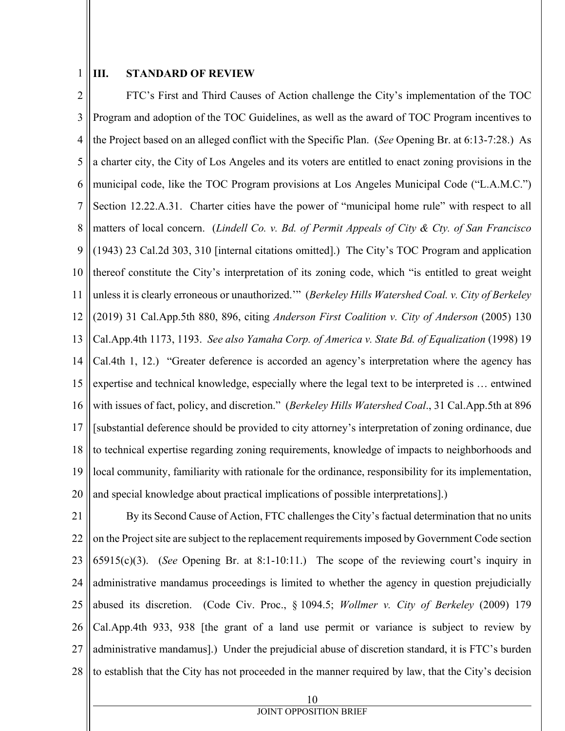1

## **III. STANDARD OF REVIEW**

2 3 4 5 6 7 8 9 10 11 12 13 14 15 16 17 18 19 20 FTC's First and Third Causes of Action challenge the City's implementation of the TOC Program and adoption of the TOC Guidelines, as well as the award of TOC Program incentives to the Project based on an alleged conflict with the Specific Plan. (*See* Opening Br. at 6:13-7:28.) As a charter city, the City of Los Angeles and its voters are entitled to enact zoning provisions in the municipal code, like the TOC Program provisions at Los Angeles Municipal Code ("L.A.M.C.") Section 12.22.A.31. Charter cities have the power of "municipal home rule" with respect to all matters of local concern. (*Lindell Co. v. Bd. of Permit Appeals of City & Cty. of San Francisco* (1943) 23 Cal.2d 303, 310 [internal citations omitted].) The City's TOC Program and application thereof constitute the City's interpretation of its zoning code, which "is entitled to great weight unless it is clearly erroneous or unauthorized.'" (*Berkeley Hills Watershed Coal. v. City of Berkeley* (2019) 31 Cal.App.5th 880, 896, citing *Anderson First Coalition v. City of Anderson* (2005) 130 Cal.App.4th 1173, 1193. *See also Yamaha Corp. of America v. State Bd. of Equalization* (1998) 19 Cal.4th 1, 12.) "Greater deference is accorded an agency's interpretation where the agency has expertise and technical knowledge, especially where the legal text to be interpreted is … entwined with issues of fact, policy, and discretion." (*Berkeley Hills Watershed Coal*., 31 Cal.App.5th at 896 [substantial deference should be provided to city attorney's interpretation of zoning ordinance, due to technical expertise regarding zoning requirements, knowledge of impacts to neighborhoods and local community, familiarity with rationale for the ordinance, responsibility for its implementation, and special knowledge about practical implications of possible interpretations].)

21 22 23 24 25 26 27 28 By its Second Cause of Action, FTC challenges the City's factual determination that no units on the Project site are subject to the replacement requirements imposed by Government Code section 65915(c)(3). (*See* Opening Br. at 8:1-10:11.) The scope of the reviewing court's inquiry in administrative mandamus proceedings is limited to whether the agency in question prejudicially abused its discretion. (Code Civ. Proc., § 1094.5; *Wollmer v. City of Berkeley* (2009) 179 Cal.App.4th 933, 938 [the grant of a land use permit or variance is subject to review by administrative mandamus].) Under the prejudicial abuse of discretion standard, it is FTC's burden to establish that the City has not proceeded in the manner required by law, that the City's decision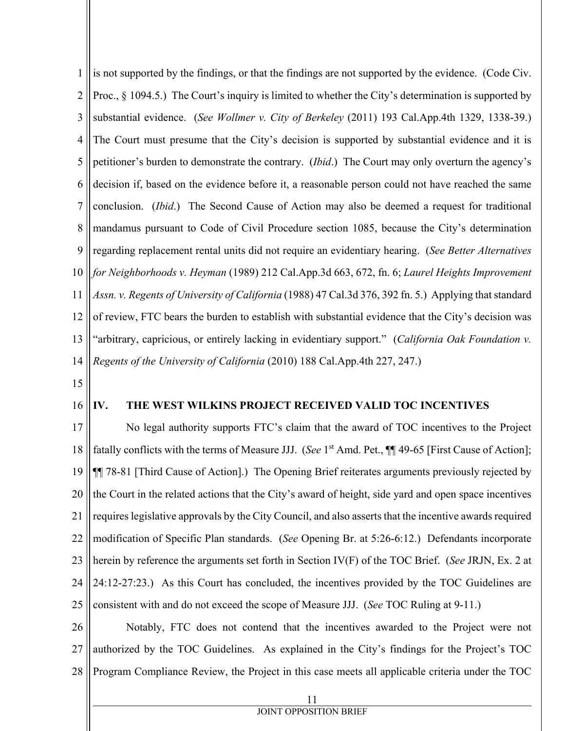1 2 3 4 5 6 7 8 9 10 11 12 13 14 is not supported by the findings, or that the findings are not supported by the evidence. (Code Civ. Proc., § 1094.5.) The Court's inquiry is limited to whether the City's determination is supported by substantial evidence. (*See Wollmer v. City of Berkeley* (2011) 193 Cal.App.4th 1329, 1338-39.) The Court must presume that the City's decision is supported by substantial evidence and it is petitioner's burden to demonstrate the contrary. (*Ibid*.) The Court may only overturn the agency's decision if, based on the evidence before it, a reasonable person could not have reached the same conclusion. (*Ibid*.) The Second Cause of Action may also be deemed a request for traditional mandamus pursuant to Code of Civil Procedure section 1085, because the City's determination regarding replacement rental units did not require an evidentiary hearing. (*See Better Alternatives for Neighborhoods v. Heyman* (1989) 212 Cal.App.3d 663, 672, fn. 6; *Laurel Heights Improvement Assn. v. Regents of University of California* (1988) 47 Cal.3d 376, 392 fn. 5.) Applying that standard of review, FTC bears the burden to establish with substantial evidence that the City's decision was "arbitrary, capricious, or entirely lacking in evidentiary support." (*California Oak Foundation v. Regents of the University of California* (2010) 188 Cal.App.4th 227, 247.)

15

#### 16 **IV. THE WEST WILKINS PROJECT RECEIVED VALID TOC INCENTIVES**

17 18 19 20 21 22 23 24 25 No legal authority supports FTC's claim that the award of TOC incentives to the Project fatally conflicts with the terms of Measure JJJ. (*See* 1<sup>st</sup> Amd. Pet., ¶¶ 49-65 [First Cause of Action]; ¶¶ 78-81 [Third Cause of Action].) The Opening Brief reiterates arguments previously rejected by the Court in the related actions that the City's award of height, side yard and open space incentives requires legislative approvals by the City Council, and also asserts that the incentive awards required modification of Specific Plan standards. (*See* Opening Br. at 5:26-6:12.) Defendants incorporate herein by reference the arguments set forth in Section IV(F) of the TOC Brief. (*See* JRJN, Ex. 2 at 24:12-27:23.) As this Court has concluded, the incentives provided by the TOC Guidelines are consistent with and do not exceed the scope of Measure JJJ. (*See* TOC Ruling at 9-11.)

26 27 28 Notably, FTC does not contend that the incentives awarded to the Project were not authorized by the TOC Guidelines. As explained in the City's findings for the Project's TOC Program Compliance Review, the Project in this case meets all applicable criteria under the TOC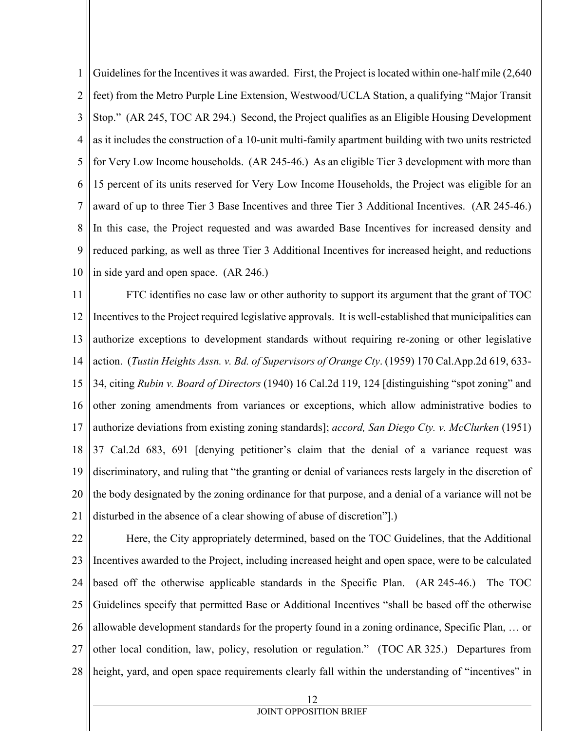1 2 3 4 5 6 7 8 9 10 Guidelines for the Incentives it was awarded. First, the Project is located within one-half mile (2,640 feet) from the Metro Purple Line Extension, Westwood/UCLA Station, a qualifying "Major Transit Stop." (AR 245, TOC AR 294.) Second, the Project qualifies as an Eligible Housing Development as it includes the construction of a 10-unit multi-family apartment building with two units restricted for Very Low Income households. (AR 245-46.) As an eligible Tier 3 development with more than 15 percent of its units reserved for Very Low Income Households, the Project was eligible for an award of up to three Tier 3 Base Incentives and three Tier 3 Additional Incentives. (AR 245-46.) In this case, the Project requested and was awarded Base Incentives for increased density and reduced parking, as well as three Tier 3 Additional Incentives for increased height, and reductions in side yard and open space. (AR 246.)

11 12 13 14 15 16 17 18 19 20 21 FTC identifies no case law or other authority to support its argument that the grant of TOC Incentives to the Project required legislative approvals. It is well-established that municipalities can authorize exceptions to development standards without requiring re-zoning or other legislative action. (*Tustin Heights Assn. v. Bd. of Supervisors of Orange Cty*. (1959) 170 Cal.App.2d 619, 633- 34, citing *Rubin v. Board of Directors* (1940) 16 Cal.2d 119, 124 [distinguishing "spot zoning" and other zoning amendments from variances or exceptions, which allow administrative bodies to authorize deviations from existing zoning standards]; *accord, San Diego Cty. v. McClurken* (1951) 37 Cal.2d 683, 691 [denying petitioner's claim that the denial of a variance request was discriminatory, and ruling that "the granting or denial of variances rests largely in the discretion of the body designated by the zoning ordinance for that purpose, and a denial of a variance will not be disturbed in the absence of a clear showing of abuse of discretion"].)

22 23 24 25 26 27 28 Here, the City appropriately determined, based on the TOC Guidelines, that the Additional Incentives awarded to the Project, including increased height and open space, were to be calculated based off the otherwise applicable standards in the Specific Plan. (AR 245-46.) The TOC Guidelines specify that permitted Base or Additional Incentives "shall be based off the otherwise allowable development standards for the property found in a zoning ordinance, Specific Plan, … or other local condition, law, policy, resolution or regulation." (TOC AR 325.) Departures from height, yard, and open space requirements clearly fall within the understanding of "incentives" in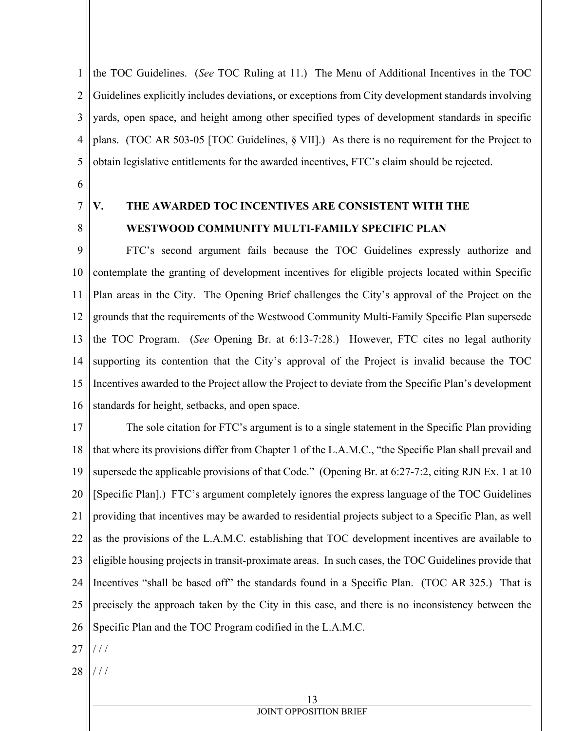1 2 3 4 5 the TOC Guidelines. (*See* TOC Ruling at 11.) The Menu of Additional Incentives in the TOC Guidelines explicitly includes deviations, or exceptions from City development standards involving yards, open space, and height among other specified types of development standards in specific plans. (TOC AR 503-05 [TOC Guidelines, § VII].) As there is no requirement for the Project to obtain legislative entitlements for the awarded incentives, FTC's claim should be rejected.

- 6
- 7 8

# **V. THE AWARDED TOC INCENTIVES ARE CONSISTENT WITH THE WESTWOOD COMMUNITY MULTI-FAMILY SPECIFIC PLAN**

9 10 11 12 13 14 15 16 FTC's second argument fails because the TOC Guidelines expressly authorize and contemplate the granting of development incentives for eligible projects located within Specific Plan areas in the City. The Opening Brief challenges the City's approval of the Project on the grounds that the requirements of the Westwood Community Multi-Family Specific Plan supersede the TOC Program. (*See* Opening Br. at 6:13-7:28.) However, FTC cites no legal authority supporting its contention that the City's approval of the Project is invalid because the TOC Incentives awarded to the Project allow the Project to deviate from the Specific Plan's development standards for height, setbacks, and open space.

17 18 19 20 21 22 23 24 25 26 The sole citation for FTC's argument is to a single statement in the Specific Plan providing that where its provisions differ from Chapter 1 of the L.A.M.C., "the Specific Plan shall prevail and supersede the applicable provisions of that Code." (Opening Br. at 6:27-7:2, citing RJN Ex. 1 at 10 [Specific Plan].) FTC's argument completely ignores the express language of the TOC Guidelines providing that incentives may be awarded to residential projects subject to a Specific Plan, as well as the provisions of the L.A.M.C. establishing that TOC development incentives are available to eligible housing projects in transit-proximate areas. In such cases, the TOC Guidelines provide that Incentives "shall be based off" the standards found in a Specific Plan. (TOC AR 325.) That is precisely the approach taken by the City in this case, and there is no inconsistency between the Specific Plan and the TOC Program codified in the L.A.M.C.

- 27 / / /
- 28 / / /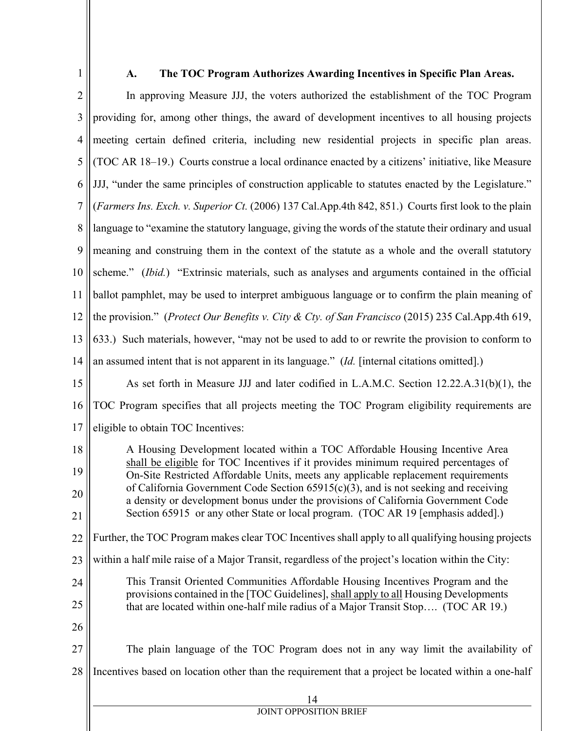1

## **A. The TOC Program Authorizes Awarding Incentives in Specific Plan Areas.**

2 3 4 5 6 7 8 9 10 11 12 13 14 15 16 17 18 19 20 21 22 23 24 25 26 27 28 14 JOINT OPPOSITION BRIEF In approving Measure JJJ, the voters authorized the establishment of the TOC Program providing for, among other things, the award of development incentives to all housing projects meeting certain defined criteria, including new residential projects in specific plan areas. (TOC AR 18–19.) Courts construe a local ordinance enacted by a citizens' initiative, like Measure JJJ, "under the same principles of construction applicable to statutes enacted by the Legislature." (*Farmers Ins. Exch. v. Superior Ct.* (2006) 137 Cal.App.4th 842, 851.) Courts first look to the plain language to "examine the statutory language, giving the words of the statute their ordinary and usual meaning and construing them in the context of the statute as a whole and the overall statutory scheme." (*Ibid.*) "Extrinsic materials, such as analyses and arguments contained in the official ballot pamphlet, may be used to interpret ambiguous language or to confirm the plain meaning of the provision." (*Protect Our Benefits v. City & Cty. of San Francisco* (2015) 235 Cal.App.4th 619, 633.) Such materials, however, "may not be used to add to or rewrite the provision to conform to an assumed intent that is not apparent in its language." (*Id.* [internal citations omitted].) As set forth in Measure JJJ and later codified in L.A.M.C. Section 12.22.A.31(b)(1), the TOC Program specifies that all projects meeting the TOC Program eligibility requirements are eligible to obtain TOC Incentives: A Housing Development located within a TOC Affordable Housing Incentive Area shall be eligible for TOC Incentives if it provides minimum required percentages of On-Site Restricted Affordable Units, meets any applicable replacement requirements of California Government Code Section  $65915(c)(3)$ , and is not seeking and receiving a density or development bonus under the provisions of California Government Code Section 65915 or any other State or local program. (TOC AR 19 [emphasis added].) Further, the TOC Program makes clear TOC Incentives shall apply to all qualifying housing projects within a half mile raise of a Major Transit, regardless of the project's location within the City: This Transit Oriented Communities Affordable Housing Incentives Program and the provisions contained in the [TOC Guidelines], shall apply to all Housing Developments that are located within one-half mile radius of a Major Transit Stop…. (TOC AR 19.) The plain language of the TOC Program does not in any way limit the availability of Incentives based on location other than the requirement that a project be located within a one-half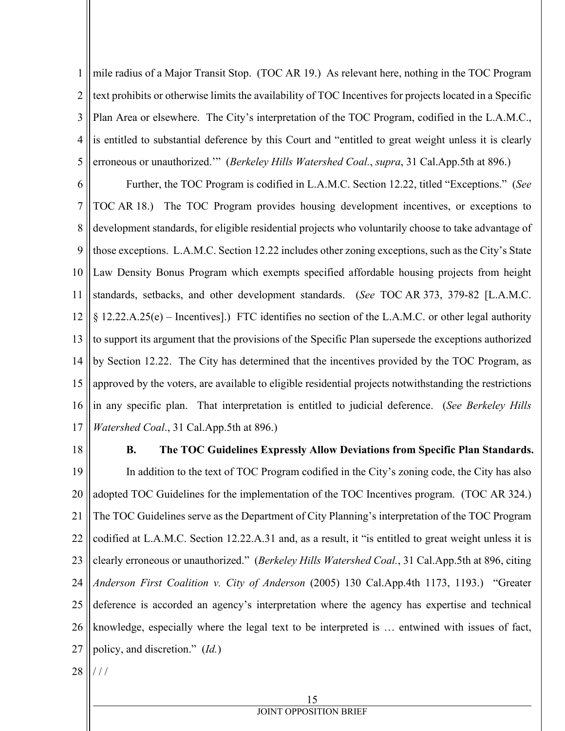1 2 3 4 5 mile radius of a Major Transit Stop. (TOC AR 19.) As relevant here, nothing in the TOC Program text prohibits or otherwise limits the availability of TOC Incentives for projects located in a Specific Plan Area or elsewhere. The City's interpretation of the TOC Program, codified in the L.A.M.C., is entitled to substantial deference by this Court and "entitled to great weight unless it is clearly erroneous or unauthorized.'" (*Berkeley Hills Watershed Coal.*, *supra*, 31 Cal.App.5th at 896.)

6 7 8 9 10 11 12 13 14 15 16 17 Further, the TOC Program is codified in L.A.M.C. Section 12.22, titled "Exceptions." (*See* TOC AR 18.) The TOC Program provides housing development incentives, or exceptions to development standards, for eligible residential projects who voluntarily choose to take advantage of those exceptions. L.A.M.C. Section 12.22 includes other zoning exceptions, such as the City's State Law Density Bonus Program which exempts specified affordable housing projects from height standards, setbacks, and other development standards. (*See* TOC AR 373, 379-82 [L.A.M.C. § 12.22.A.25(e) – Incentives].) FTC identifies no section of the L.A.M.C. or other legal authority to support its argument that the provisions of the Specific Plan supersede the exceptions authorized by Section 12.22. The City has determined that the incentives provided by the TOC Program, as approved by the voters, are available to eligible residential projects notwithstanding the restrictions in any specific plan. That interpretation is entitled to judicial deference. (*See Berkeley Hills Watershed Coal*., 31 Cal.App.5th at 896.)

18

## **B. The TOC Guidelines Expressly Allow Deviations from Specific Plan Standards.**

19 20 21 22 23 24 25 26 27 In addition to the text of TOC Program codified in the City's zoning code, the City has also adopted TOC Guidelines for the implementation of the TOC Incentives program. (TOC AR 324.) The TOC Guidelines serve as the Department of City Planning's interpretation of the TOC Program codified at L.A.M.C. Section 12.22.A.31 and, as a result, it "is entitled to great weight unless it is clearly erroneous or unauthorized." (*Berkeley Hills Watershed Coal.*, 31 Cal.App.5th at 896, citing *Anderson First Coalition v. City of Anderson* (2005) 130 Cal.App.4th 1173, 1193.) "Greater deference is accorded an agency's interpretation where the agency has expertise and technical knowledge, especially where the legal text to be interpreted is … entwined with issues of fact, policy, and discretion." (*Id.*)

28 / / /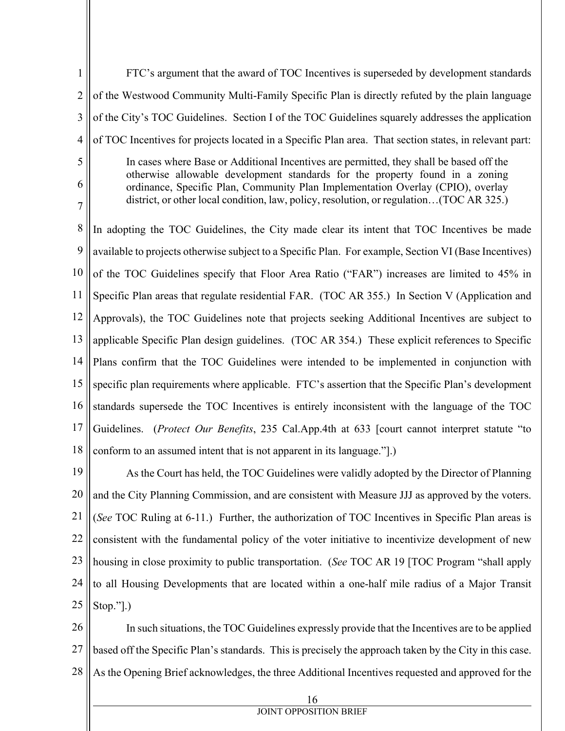1 2 3 4 5 6 7 8 9 10 11 12 13 14 15 16 17 18 FTC's argument that the award of TOC Incentives is superseded by development standards of the Westwood Community Multi-Family Specific Plan is directly refuted by the plain language of the City's TOC Guidelines. Section I of the TOC Guidelines squarely addresses the application of TOC Incentives for projects located in a Specific Plan area. That section states, in relevant part: In cases where Base or Additional Incentives are permitted, they shall be based off the otherwise allowable development standards for the property found in a zoning ordinance, Specific Plan, Community Plan Implementation Overlay (CPIO), overlay district, or other local condition, law, policy, resolution, or regulation…(TOC AR 325.) In adopting the TOC Guidelines, the City made clear its intent that TOC Incentives be made available to projects otherwise subject to a Specific Plan. For example, Section VI (Base Incentives) of the TOC Guidelines specify that Floor Area Ratio ("FAR") increases are limited to 45% in Specific Plan areas that regulate residential FAR. (TOC AR 355.) In Section V (Application and Approvals), the TOC Guidelines note that projects seeking Additional Incentives are subject to applicable Specific Plan design guidelines. (TOC AR 354.) These explicit references to Specific Plans confirm that the TOC Guidelines were intended to be implemented in conjunction with specific plan requirements where applicable. FTC's assertion that the Specific Plan's development standards supersede the TOC Incentives is entirely inconsistent with the language of the TOC Guidelines. (*Protect Our Benefits*, 235 Cal.App.4th at 633 [court cannot interpret statute "to conform to an assumed intent that is not apparent in its language."].)

19 20 21 22 23 24 25 As the Court has held, the TOC Guidelines were validly adopted by the Director of Planning and the City Planning Commission, and are consistent with Measure JJJ as approved by the voters. (*See* TOC Ruling at 6-11.) Further, the authorization of TOC Incentives in Specific Plan areas is consistent with the fundamental policy of the voter initiative to incentivize development of new housing in close proximity to public transportation. (*See* TOC AR 19 [TOC Program "shall apply to all Housing Developments that are located within a one-half mile radius of a Major Transit Stop."].)

26 27 28 In such situations, the TOC Guidelines expressly provide that the Incentives are to be applied based off the Specific Plan's standards. This is precisely the approach taken by the City in this case. As the Opening Brief acknowledges, the three Additional Incentives requested and approved for the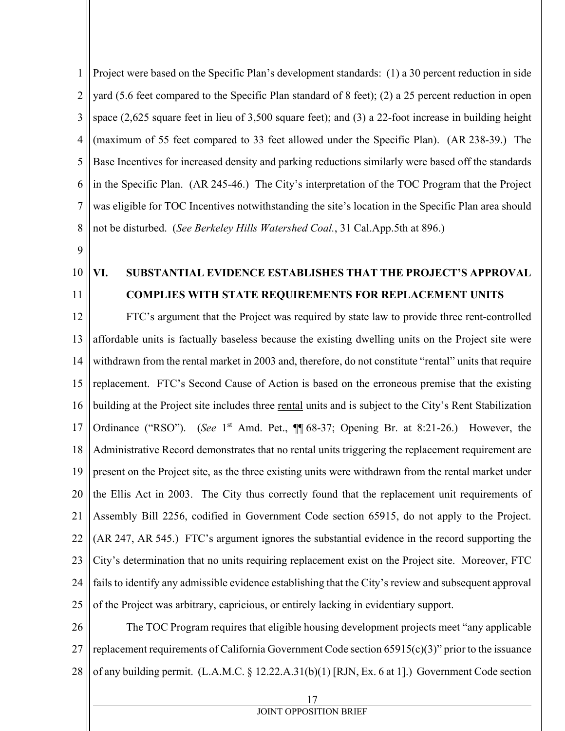1 2 3 4 5 6 7 8 Project were based on the Specific Plan's development standards: (1) a 30 percent reduction in side yard (5.6 feet compared to the Specific Plan standard of 8 feet); (2) a 25 percent reduction in open space (2,625 square feet in lieu of 3,500 square feet); and (3) a 22-foot increase in building height (maximum of 55 feet compared to 33 feet allowed under the Specific Plan). (AR 238-39.) The Base Incentives for increased density and parking reductions similarly were based off the standards in the Specific Plan. (AR 245-46.) The City's interpretation of the TOC Program that the Project was eligible for TOC Incentives notwithstanding the site's location in the Specific Plan area should not be disturbed. (*See Berkeley Hills Watershed Coal.*, 31 Cal.App.5th at 896.)

- 9
- 10 11

# **VI. SUBSTANTIAL EVIDENCE ESTABLISHES THAT THE PROJECT'S APPROVAL COMPLIES WITH STATE REQUIREMENTS FOR REPLACEMENT UNITS**

12 13 14 15 16 17 18 19 20 21 22 23 24 25 FTC's argument that the Project was required by state law to provide three rent-controlled affordable units is factually baseless because the existing dwelling units on the Project site were withdrawn from the rental market in 2003 and, therefore, do not constitute "rental" units that require replacement. FTC's Second Cause of Action is based on the erroneous premise that the existing building at the Project site includes three rental units and is subject to the City's Rent Stabilization Ordinance ("RSO"). (*See* 1<sup>st</sup> Amd. Pet., ¶ 68-37; Opening Br. at 8:21-26.) However, the Administrative Record demonstrates that no rental units triggering the replacement requirement are present on the Project site, as the three existing units were withdrawn from the rental market under the Ellis Act in 2003. The City thus correctly found that the replacement unit requirements of Assembly Bill 2256, codified in Government Code section 65915, do not apply to the Project. (AR 247, AR 545.) FTC's argument ignores the substantial evidence in the record supporting the City's determination that no units requiring replacement exist on the Project site. Moreover, FTC fails to identify any admissible evidence establishing that the City's review and subsequent approval of the Project was arbitrary, capricious, or entirely lacking in evidentiary support.

26 27 28 The TOC Program requires that eligible housing development projects meet "any applicable replacement requirements of California Government Code section 65915(c)(3)" prior to the issuance of any building permit. (L.A.M.C. § 12.22.A.31(b)(1) [RJN, Ex. 6 at 1].) Government Code section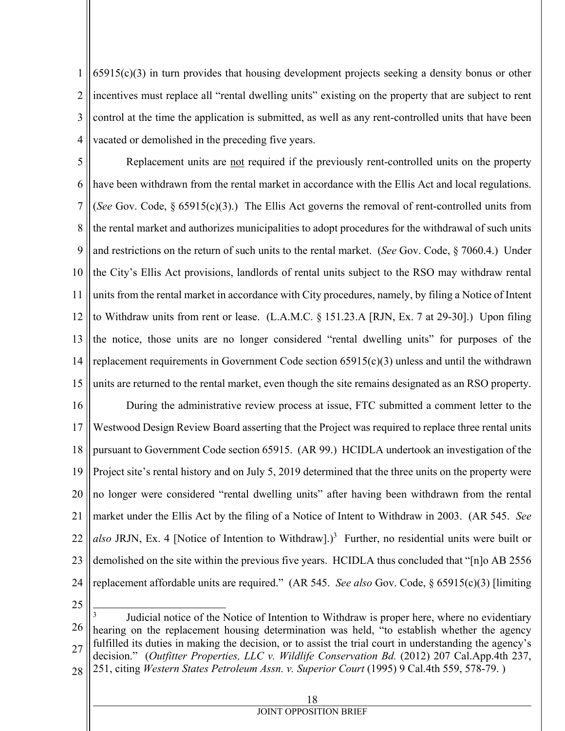1 2 3 4 65915(c)(3) in turn provides that housing development projects seeking a density bonus or other incentives must replace all "rental dwelling units" existing on the property that are subject to rent control at the time the application is submitted, as well as any rent-controlled units that have been vacated or demolished in the preceding five years.

5 6 7 8 9 10 11 12 13 14 15 16 17 18 19 20 21 22 23 24 Replacement units are not required if the previously rent-controlled units on the property have been withdrawn from the rental market in accordance with the Ellis Act and local regulations. (*See* Gov. Code, § 65915(c)(3).) The Ellis Act governs the removal of rent-controlled units from the rental market and authorizes municipalities to adopt procedures for the withdrawal of such units and restrictions on the return of such units to the rental market. (*See* Gov. Code, § 7060.4.) Under the City's Ellis Act provisions, landlords of rental units subject to the RSO may withdraw rental units from the rental market in accordance with City procedures, namely, by filing a Notice of Intent to Withdraw units from rent or lease. (L.A.M.C. § 151.23.A [RJN, Ex. 7 at 29-30].) Upon filing the notice, those units are no longer considered "rental dwelling units" for purposes of the replacement requirements in Government Code section  $65915(c)(3)$  unless and until the withdrawn units are returned to the rental market, even though the site remains designated as an RSO property. During the administrative review process at issue, FTC submitted a comment letter to the Westwood Design Review Board asserting that the Project was required to replace three rental units pursuant to Government Code section 65915. (AR 99.) HCIDLA undertook an investigation of the Project site's rental history and on July 5, 2019 determined that the three units on the property were no longer were considered "rental dwelling units" after having been withdrawn from the rental market under the Ellis Act by the filing of a Notice of Intent to Withdraw in 2003. (AR 545. *See*  also JRJN, Ex. 4 [Notice of Intention to Withdraw].)<sup>3</sup> Further, no residential units were built or demolished on the site within the previous five years. HCIDLA thus concluded that "[n]o AB 2556 replacement affordable units are required." (AR 545. *See also* Gov. Code, § 65915(c)(3) [limiting

25

26 27 28  $\overline{\phantom{a}}$ 3 Judicial notice of the Notice of Intention to Withdraw is proper here, where no evidentiary hearing on the replacement housing determination was held, "to establish whether the agency fulfilled its duties in making the decision, or to assist the trial court in understanding the agency's decision." (*Outfitter Properties, LLC v. Wildlife Conservation Bd.* (2012) 207 Cal.App.4th 237, 251, citing *Western States Petroleum Assn. v. Superior Court* (1995) 9 Cal.4th 559, 578-79. )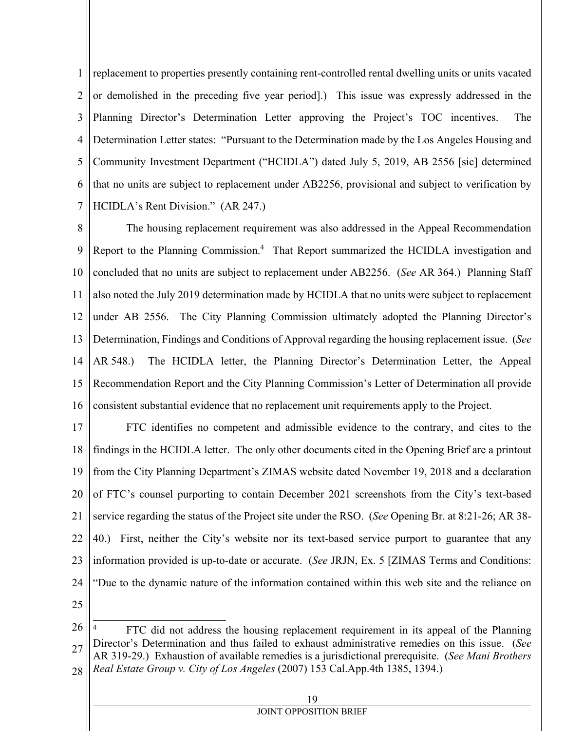1 2 3 4 5 6 7 replacement to properties presently containing rent-controlled rental dwelling units or units vacated or demolished in the preceding five year period].) This issue was expressly addressed in the Planning Director's Determination Letter approving the Project's TOC incentives. The Determination Letter states: "Pursuant to the Determination made by the Los Angeles Housing and Community Investment Department ("HCIDLA") dated July 5, 2019, AB 2556 [sic] determined that no units are subject to replacement under AB2256, provisional and subject to verification by HCIDLA's Rent Division." (AR 247.)

8 9 10 11 12 13 14 15 16 The housing replacement requirement was also addressed in the Appeal Recommendation Report to the Planning Commission.<sup>4</sup> That Report summarized the HCIDLA investigation and concluded that no units are subject to replacement under AB2256. (*See* AR 364.) Planning Staff also noted the July 2019 determination made by HCIDLA that no units were subject to replacement under AB 2556. The City Planning Commission ultimately adopted the Planning Director's Determination, Findings and Conditions of Approval regarding the housing replacement issue. (*See* AR 548.) The HCIDLA letter, the Planning Director's Determination Letter, the Appeal Recommendation Report and the City Planning Commission's Letter of Determination all provide consistent substantial evidence that no replacement unit requirements apply to the Project.

17 18 19 20 21 22 23 24 25 FTC identifies no competent and admissible evidence to the contrary, and cites to the findings in the HCIDLA letter. The only other documents cited in the Opening Brief are a printout from the City Planning Department's ZIMAS website dated November 19, 2018 and a declaration of FTC's counsel purporting to contain December 2021 screenshots from the City's text-based service regarding the status of the Project site under the RSO. (*See* Opening Br. at 8:21-26; AR 38- 40.) First, neither the City's website nor its text-based service purport to guarantee that any information provided is up-to-date or accurate. (*See* JRJN, Ex. 5 [ZIMAS Terms and Conditions: "Due to the dynamic nature of the information contained within this web site and the reliance on

<sup>26</sup> 27 28  $\overline{\phantom{a}}$ 4 FTC did not address the housing replacement requirement in its appeal of the Planning Director's Determination and thus failed to exhaust administrative remedies on this issue. (*See* AR 319-29.) Exhaustion of available remedies is a jurisdictional prerequisite. (*See Mani Brothers Real Estate Group v. City of Los Angeles* (2007) 153 Cal.App.4th 1385, 1394.)

| 19                     |
|------------------------|
| JOINT OPPOSITION BRIEF |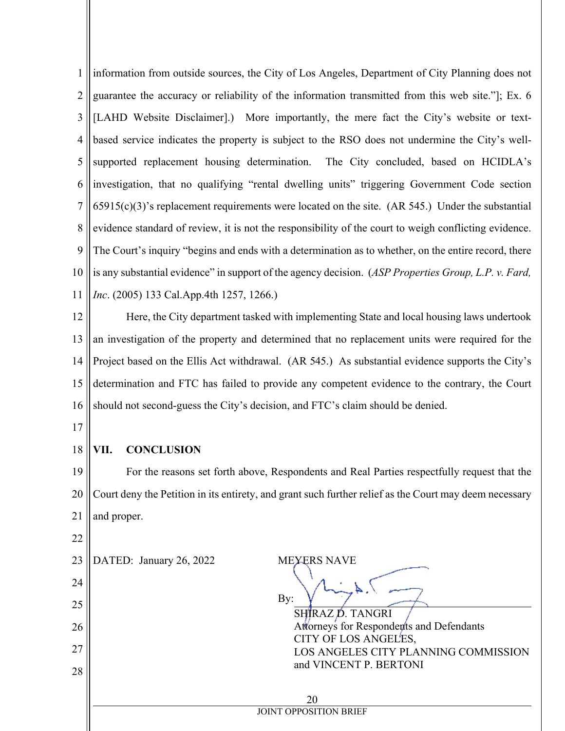1 2 3 4 5 6 7 8 9 10 11 information from outside sources, the City of Los Angeles, Department of City Planning does not guarantee the accuracy or reliability of the information transmitted from this web site."]; Ex. 6 [LAHD Website Disclaimer].) More importantly, the mere fact the City's website or textbased service indicates the property is subject to the RSO does not undermine the City's wellsupported replacement housing determination. The City concluded, based on HCIDLA's investigation, that no qualifying "rental dwelling units" triggering Government Code section  $65915(c)(3)$ 's replacement requirements were located on the site. (AR 545.) Under the substantial evidence standard of review, it is not the responsibility of the court to weigh conflicting evidence. The Court's inquiry "begins and ends with a determination as to whether, on the entire record, there is any substantial evidence" in support of the agency decision. (*ASP Properties Group, L.P. v. Fard, Inc*. (2005) 133 Cal.App.4th 1257, 1266.)

12 13 14 15 16 Here, the City department tasked with implementing State and local housing laws undertook an investigation of the property and determined that no replacement units were required for the Project based on the Ellis Act withdrawal. (AR 545.) As substantial evidence supports the City's determination and FTC has failed to provide any competent evidence to the contrary, the Court should not second-guess the City's decision, and FTC's claim should be denied.

17

22

#### 18 **VII. CONCLUSION**

19 20 21 For the reasons set forth above, Respondents and Real Parties respectfully request that the Court deny the Petition in its entirety, and grant such further relief as the Court may deem necessary and proper.

| 23<br>24<br>25<br>26<br>27<br>28 | DATED: January 26, 2022             | <b>MEYERS NAVE</b><br>By:<br>SHIRAZ D. TANGRI<br>Attorneys for Responderts and Defendants<br>CITY OF LOS ANGEL'ES,<br>LOS ANGELES CITY PLANNING COMMISSION<br>and VINCENT P. BERTONI |
|----------------------------------|-------------------------------------|--------------------------------------------------------------------------------------------------------------------------------------------------------------------------------------|
|                                  | 20<br><b>JOINT OPPOSITION BRIEF</b> |                                                                                                                                                                                      |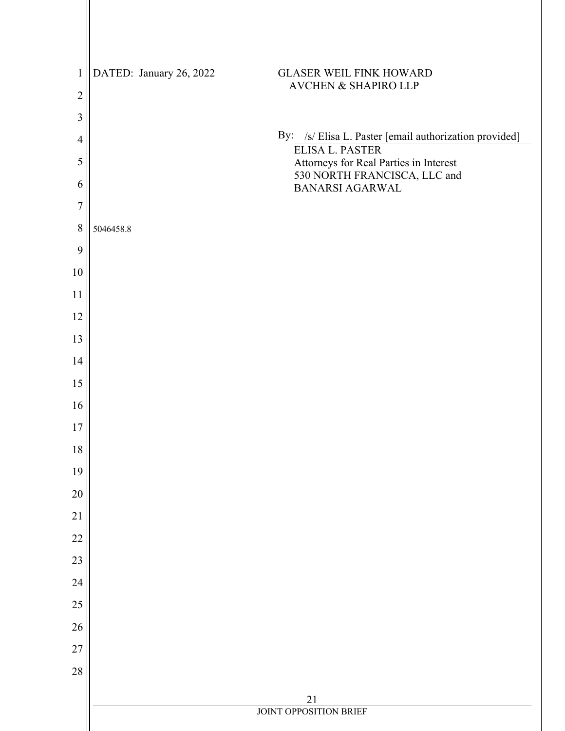| $\mathbf{1}$   | DATED: January 26, 2022 | <b>GLASER WEIL FINK HOWARD</b>                                   |
|----------------|-------------------------|------------------------------------------------------------------|
| $\overline{2}$ |                         | <b>AVCHEN &amp; SHAPIRO LLP</b>                                  |
| 3              |                         |                                                                  |
| $\overline{4}$ |                         | By: /s/ Elisa L. Paster [email authorization provided]           |
| 5              |                         | <b>ELISA L. PASTER</b><br>Attorneys for Real Parties in Interest |
| 6              |                         | 530 NORTH FRANCISCA, LLC and<br>BANARSI AGARWAL                  |
| $\overline{7}$ |                         |                                                                  |
| $\,8\,$        | 5046458.8               |                                                                  |
| 9              |                         |                                                                  |
| 10             |                         |                                                                  |
| 11             |                         |                                                                  |
| 12             |                         |                                                                  |
| 13             |                         |                                                                  |
| 14             |                         |                                                                  |
| 15             |                         |                                                                  |
| 16             |                         |                                                                  |
| $17$           |                         |                                                                  |
| 18             |                         |                                                                  |
| 19             |                         |                                                                  |
| $20\,$         |                         |                                                                  |
| 21             |                         |                                                                  |
| 22             |                         |                                                                  |
| 23             |                         |                                                                  |
| 24             |                         |                                                                  |
| 25             |                         |                                                                  |
| 26             |                         |                                                                  |
| 27             |                         |                                                                  |
| $28\,$         |                         |                                                                  |
|                |                         | 21<br><b>JOINT OPPOSITION BRIEF</b>                              |
|                |                         |                                                                  |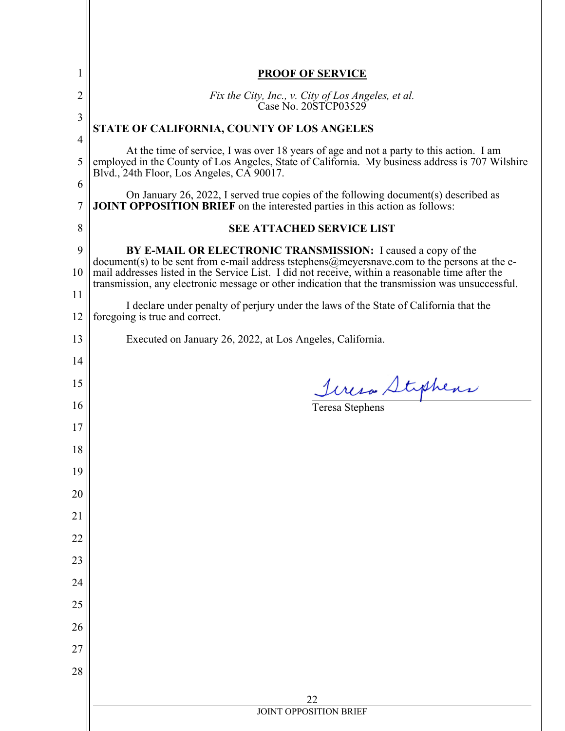|                | <b>PROOF OF SERVICE</b>                                                                                                                                                                                                                                          |  |  |
|----------------|------------------------------------------------------------------------------------------------------------------------------------------------------------------------------------------------------------------------------------------------------------------|--|--|
| $\overline{c}$ | Fix the City, Inc., v. City of Los Angeles, et al.<br>Case No. 20STCP03529                                                                                                                                                                                       |  |  |
| 3              | STATE OF CALIFORNIA, COUNTY OF LOS ANGELES                                                                                                                                                                                                                       |  |  |
| 4<br>5         | At the time of service, I was over 18 years of age and not a party to this action. I am<br>employed in the County of Los Angeles, State of California. My business address is 707 Wilshire<br>Blvd., 24th Floor, Los Angeles, CA 90017.                          |  |  |
| 6              | On January 26, 2022, I served true copies of the following document(s) described as                                                                                                                                                                              |  |  |
| $\overline{7}$ | <b>JOINT OPPOSITION BRIEF</b> on the interested parties in this action as follows:                                                                                                                                                                               |  |  |
| $\,$ $\,$      | <b>SEE ATTACHED SERVICE LIST</b>                                                                                                                                                                                                                                 |  |  |
| 9<br>10        | BY E-MAIL OR ELECTRONIC TRANSMISSION: I caused a copy of the<br>document(s) to be sent from e-mail address tstephens@meyersnave.com to the persons at the e-<br>mail addresses listed in the Service List. I did not receive, within a reasonable time after the |  |  |
| 11             | transmission, any electronic message or other indication that the transmission was unsuccessful.                                                                                                                                                                 |  |  |
| 12             | I declare under penalty of perjury under the laws of the State of California that the<br>foregoing is true and correct.                                                                                                                                          |  |  |
| 13             | Executed on January 26, 2022, at Los Angeles, California.                                                                                                                                                                                                        |  |  |
| 14             |                                                                                                                                                                                                                                                                  |  |  |
| 15             | <u>Incro Styphens</u>                                                                                                                                                                                                                                            |  |  |
| 16             |                                                                                                                                                                                                                                                                  |  |  |
| 17             |                                                                                                                                                                                                                                                                  |  |  |
| 18             |                                                                                                                                                                                                                                                                  |  |  |
| 19             |                                                                                                                                                                                                                                                                  |  |  |
| 20             |                                                                                                                                                                                                                                                                  |  |  |
| 21             |                                                                                                                                                                                                                                                                  |  |  |
| 22             |                                                                                                                                                                                                                                                                  |  |  |
| 23             |                                                                                                                                                                                                                                                                  |  |  |
| 24             |                                                                                                                                                                                                                                                                  |  |  |
| 25             |                                                                                                                                                                                                                                                                  |  |  |
| 26             |                                                                                                                                                                                                                                                                  |  |  |
| 27             |                                                                                                                                                                                                                                                                  |  |  |
| 28             |                                                                                                                                                                                                                                                                  |  |  |
|                | 22                                                                                                                                                                                                                                                               |  |  |
|                | <b>JOINT OPPOSITION BRIEF</b>                                                                                                                                                                                                                                    |  |  |
|                |                                                                                                                                                                                                                                                                  |  |  |